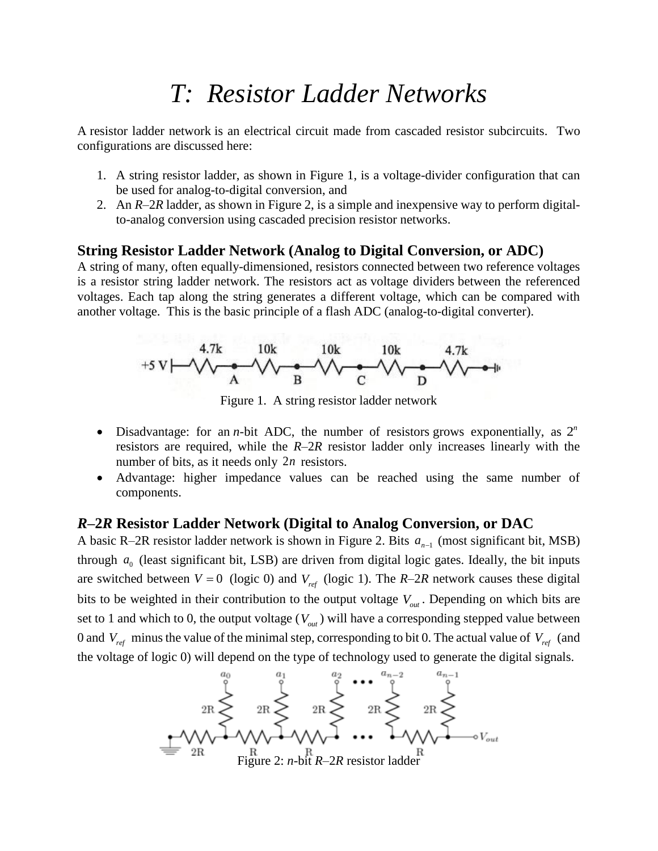# *T: Resistor Ladder Networks*

A resistor ladder network is an electrical circuit made from cascaded resistor [subcircuits.](https://en.wikipedia.org/wiki/Resistors) Two configurations are discussed here:

- 1. A string resistor ladder, as shown in Figure 1, is a voltage-divider configuration that can be used for analog-to-digital conversion, and
- 2. An *R*–2*R* ladder, as shown in Figure 2, is a simple and inexpensive way to perform [digital](https://en.wikipedia.org/wiki/Digital-to-analog_converter)[to-analog conversion](https://en.wikipedia.org/wiki/Digital-to-analog_converter) using cascaded precision resistor networks.

#### **String Resistor Ladder Network (Analog to Digital Conversion, or ADC)**

A string of many, often equally-dimensioned, resistors connected between two reference voltages is a resistor string ladder network. The resistors act as [voltage dividers](https://en.wikipedia.org/wiki/Voltage_divider) between the referenced voltages. Each tap along the string generates a different voltage, which can be compared with another voltage. This is the basic principle of a [flash ADC](https://en.wikipedia.org/wiki/Flash_ADC) (analog-to-digital converter).



Figure 1. A string resistor ladder network

- Disadvantage: for an *n*-bit ADC, the number of resistors [grows exponentially,](https://en.wikipedia.org/wiki/Exponential_growth) as  $2^n$ resistors are required, while the *R*–2*R* resistor ladder only increases linearly with the number of bits, as it needs only 2*<sup>n</sup>* resistors.
- Advantage: higher impedance values can be reached using the same number of components.

#### *R***–2***R* **Resistor Ladder Network (Digital to Analog Conversion, or DAC**

A basic R-2R resistor ladder network is shown in Figure 2. Bits  $a_{n-1}$  (most significant bit, MSB) through  $a_0$  (least significant bit, LSB) are driven from digital logic gates. Ideally, the bit inputs are switched between  $V = 0$  (logic 0) and  $V_{ref}$  (logic 1). The *R*–2*R* network causes these digital bits to be weighted in their contribution to the output voltage  $V_{out}$ . Depending on which bits are set to 1 and which to 0, the output voltage  $(V_{out})$  will have a corresponding [stepped value](https://en.wikipedia.org/wiki/Quantization_(signal_processing)) between 0 and  $V_{ref}$  minus the value of the minimal step, corresponding to bit 0. The actual value of  $V_{ref}$  (and the voltage of logic 0) will depend on the type of technology used to generate the digital signals.

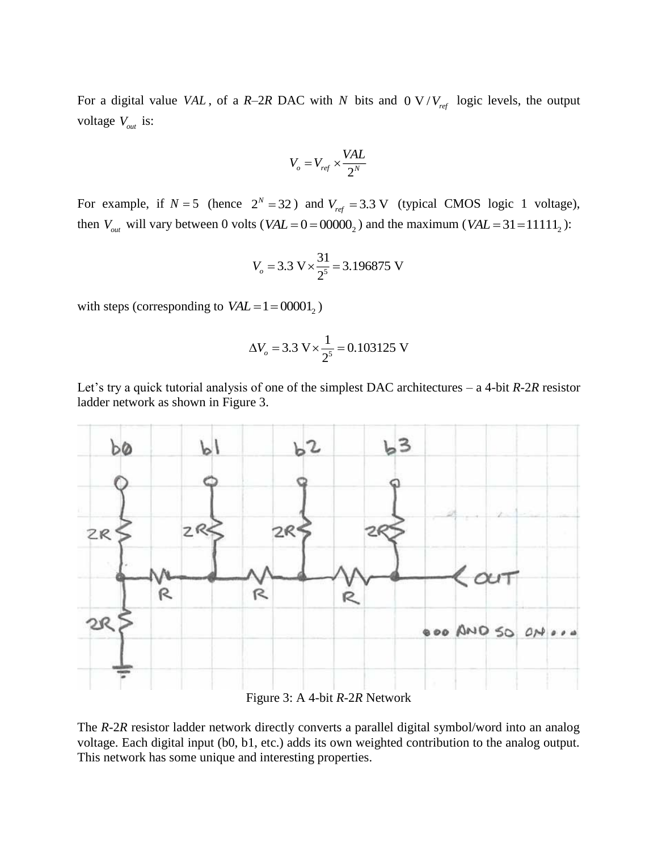For a digital value *VAL*, of a *R*-2*R* DAC with *N* bits and 0 V/ $V_{ref}$  logic levels, the output voltage *Vout* is:

$$
V_o = V_{ref} \times \frac{VAL}{2^N}
$$

For example, if  $N = 5$  (hence  $2^N = 32$ ) and  $V_{ref} = 3.3$  V (typical CMOS logic 1 voltage), then  $V_{out}$  will vary between 0 volts ( $VAL = 0 = 00000_2$ ) and the maximum ( $VAL = 31 = 11111_2$ ):

$$
V_o = 3.3 \text{ V} \times \frac{31}{2^5} = 3.196875 \text{ V}
$$

with steps (corresponding to  $VAL = 1 = 00001_2$ )

$$
\Delta V_o = 3.3 \text{ V} \times \frac{1}{2^5} = 0.103125 \text{ V}
$$

Let's try a quick tutorial analysis of one of the simplest DAC architectures – a 4-bit *R*-2*R* resistor ladder network as shown in Figure 3.



Figure 3: A 4-bit *R*-2*R* Network

The *R*-2*R* resistor ladder network directly converts a parallel digital symbol/word into an analog voltage. Each digital input (b0, b1, etc.) adds its own weighted contribution to the analog output. This network has some unique and interesting properties.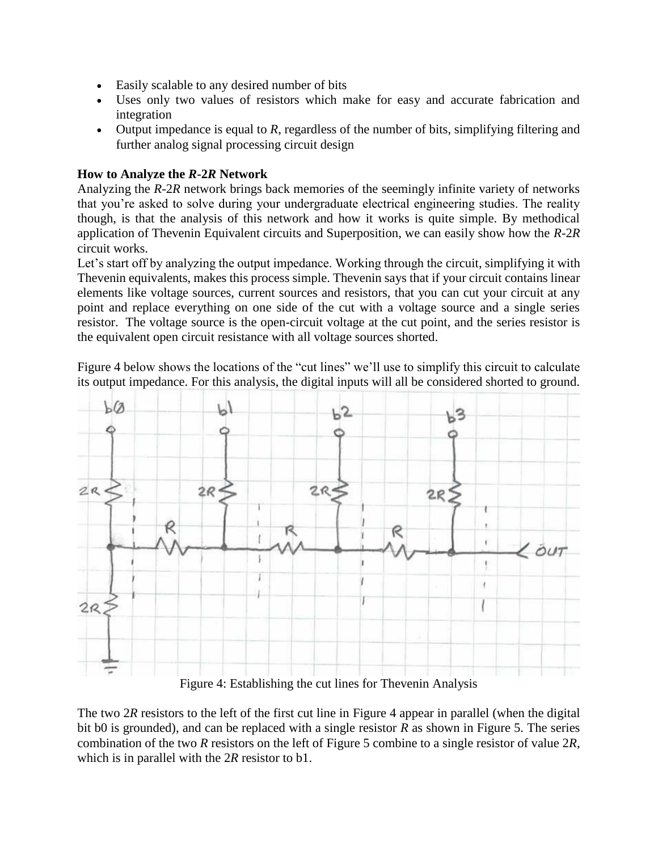- Easily scalable to any desired number of bits
- Uses only two values of resistors which make for easy and accurate fabrication and integration
- Output impedance is equal to *R*, regardless of the number of bits, simplifying filtering and further analog signal processing circuit design

### **How to Analyze the** *R***-2***R* **Network**

Analyzing the *R*-2*R* network brings back memories of the seemingly infinite variety of networks that you're asked to solve during your undergraduate electrical engineering studies. The reality though, is that the analysis of this network and how it works is quite simple. By methodical application of Thevenin Equivalent circuits and Superposition, we can easily show how the *R*-2*R* circuit works.

Let's start off by analyzing the output impedance. Working through the circuit, simplifying it with Thevenin equivalents, makes this process simple. Thevenin says that if your circuit contains linear elements like voltage sources, current sources and resistors, that you can cut your circuit at any point and replace everything on one side of the cut with a voltage source and a single series resistor. The voltage source is the open-circuit voltage at the cut point, and the series resistor is the equivalent open circuit resistance with all voltage sources shorted.

Figure 4 below shows the locations of the "cut lines" we'll use to simplify this circuit to calculate its output impedance. For this analysis, the digital inputs will all be considered shorted to ground.



Figure 4: Establishing the cut lines for Thevenin Analysis

The two 2*R* resistors to the left of the first cut line in Figure 4 appear in parallel (when the digital bit b0 is grounded), and can be replaced with a single resistor *R* as shown in Figure 5. The series combination of the two *R* resistors on the left of Figure 5 combine to a single resistor of value 2*R*, which is in parallel with the 2*R* resistor to b1.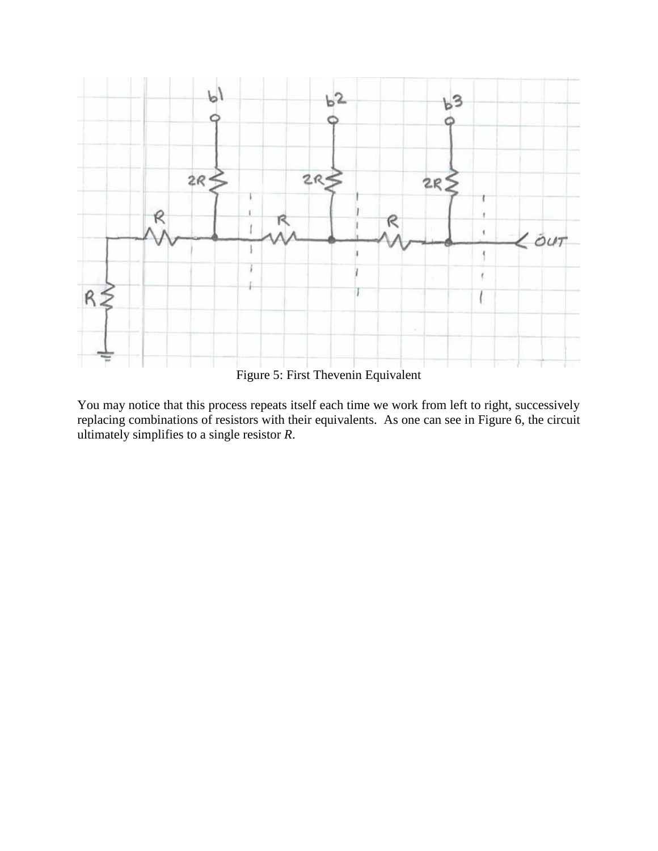

You may notice that this process repeats itself each time we work from left to right, successively replacing combinations of resistors with their equivalents. As one can see in Figure 6, the circuit ultimately simplifies to a single resistor *R*.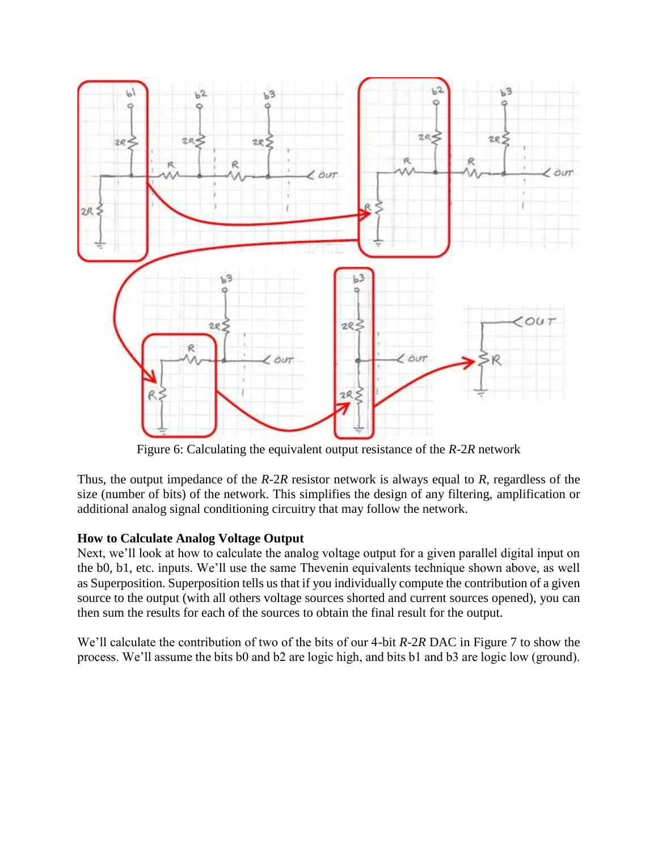

Figure 6: Calculating the equivalent output resistance of the *R*-2*R* network

Thus, the output impedance of the *R*-2*R* resistor network is always equal to *R*, regardless of the size (number of bits) of the network. This simplifies the design of any filtering, amplification or additional analog signal conditioning circuitry that may follow the network.

## **How to Calculate Analog Voltage Output**

Next, we'll look at how to calculate the analog voltage output for a given parallel digital input on the b0, b1, etc. inputs. We'll use the same Thevenin equivalents technique shown above, as well as Superposition. Superposition tells us that if you individually compute the contribution of a given source to the output (with all others voltage sources shorted and current sources opened), you can then sum the results for each of the sources to obtain the final result for the output.

We'll calculate the contribution of two of the bits of our 4-bit *R*-2*R* DAC in Figure 7 to show the process. We'll assume the bits b0 and b2 are logic high, and bits b1 and b3 are logic low (ground).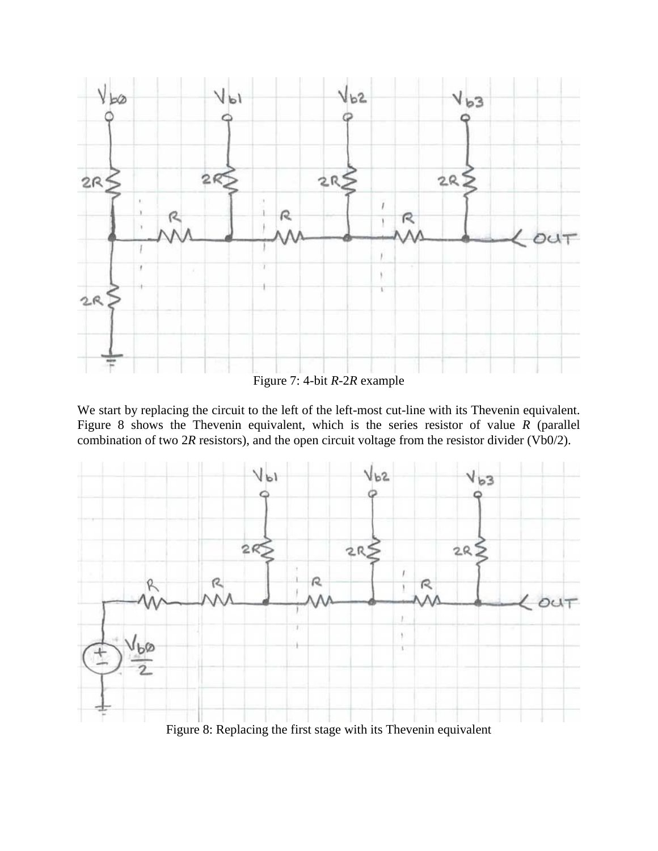

Figure 7: 4-bit *R*-2*R* example

We start by replacing the circuit to the left of the left-most cut-line with its Thevenin equivalent. Figure 8 shows the Thevenin equivalent, which is the series resistor of value *R* (parallel combination of two 2*R* resistors), and the open circuit voltage from the resistor divider (Vb0/2).



Figure 8: Replacing the first stage with its Thevenin equivalent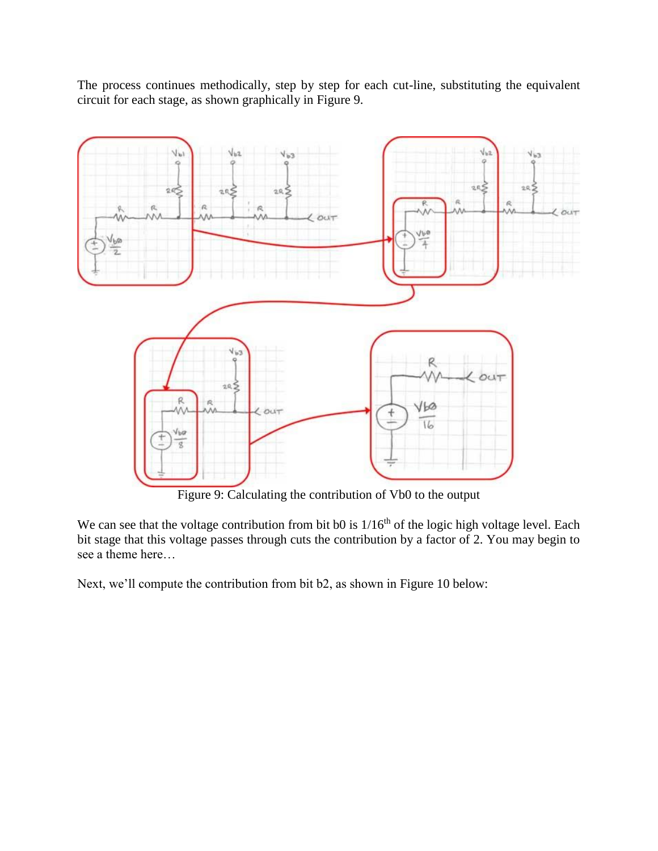The process continues methodically, step by step for each cut-line, substituting the equivalent circuit for each stage, as shown graphically in Figure 9.



Figure 9: Calculating the contribution of Vb0 to the output

We can see that the voltage contribution from bit b0 is  $1/16<sup>th</sup>$  of the logic high voltage level. Each bit stage that this voltage passes through cuts the contribution by a factor of 2. You may begin to see a theme here…

Next, we'll compute the contribution from bit b2, as shown in Figure 10 below: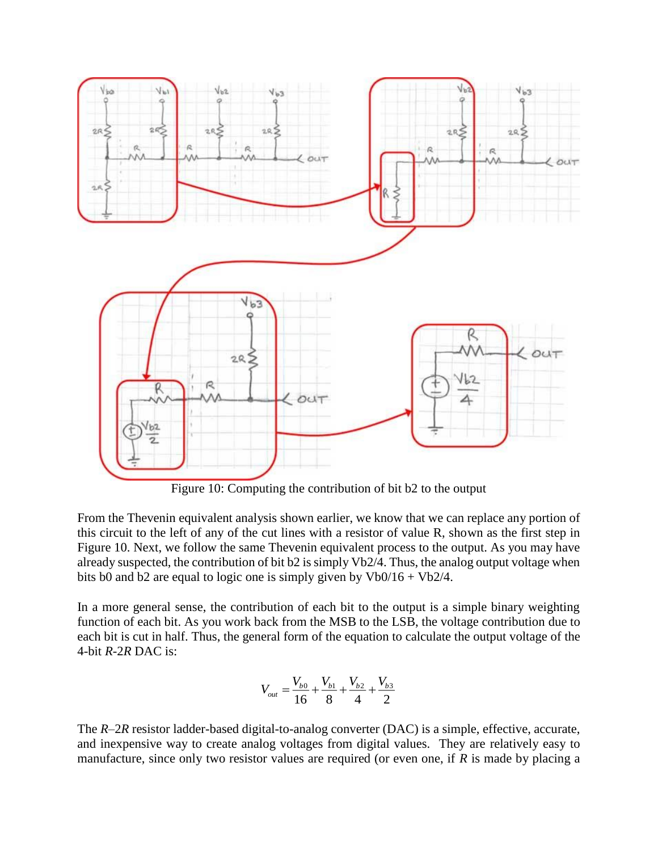

Figure 10: Computing the contribution of bit b2 to the output

From the Thevenin equivalent analysis shown earlier, we know that we can replace any portion of this circuit to the left of any of the cut lines with a resistor of value R, shown as the first step in Figure 10. Next, we follow the same Thevenin equivalent process to the output. As you may have already suspected, the contribution of bit b2 is simply Vb2/4. Thus, the analog output voltage when bits b0 and b2 are equal to logic one is simply given by  $Vb0/16 + Vb2/4$ .

In a more general sense, the contribution of each bit to the output is a simple binary weighting function of each bit. As you work back from the MSB to the LSB, the voltage contribution due to each bit is cut in half. Thus, the general form of the equation to calculate the output voltage of the 4-bit *R*-2*R* DAC is:

$$
V_{out} = \frac{V_{b0}}{16} + \frac{V_{b1}}{8} + \frac{V_{b2}}{4} + \frac{V_{b3}}{2}
$$

The *R*–2*R* resistor ladder-based digital-to-analog converter (DAC) is a simple, effective, accurate, and inexpensive way to create analog voltages from digital values. They are relatively easy to manufacture, since only two resistor values are required (or even one, if *R* is made by placing a